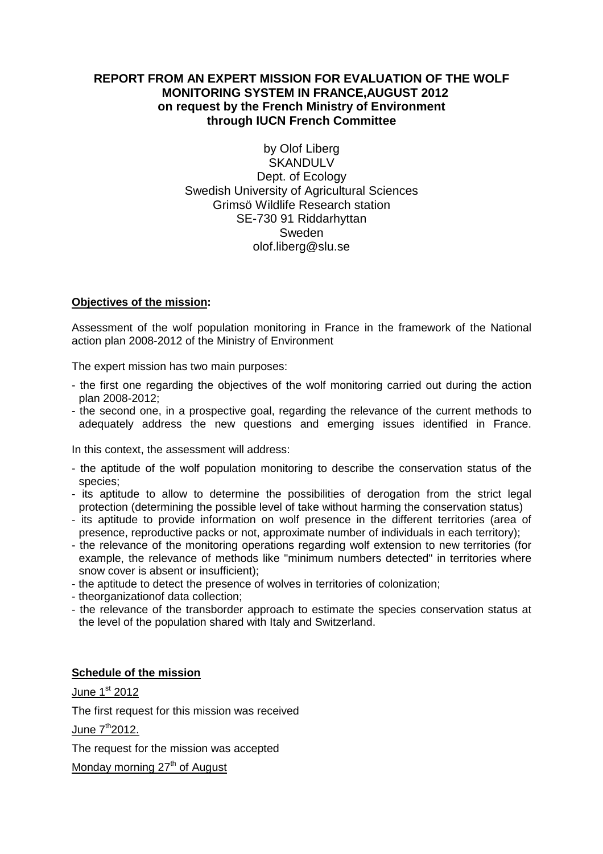# **REPORT FROM AN EXPERT MISSION FOR EVALUATION OF THE WOLF MONITORING SYSTEM IN FRANCE,AUGUST 2012 on request by the French Ministry of Environment through IUCN French Committee**

by Olof Liberg **SKANDULV** Dept. of Ecology Swedish University of Agricultural Sciences Grimsö Wildlife Research station SE-730 91 Riddarhyttan Sweden olof.liberg@slu.se

## **Objectives of the mission:**

Assessment of the wolf population monitoring in France in the framework of the National action plan 2008-2012 of the Ministry of Environment

The expert mission has two main purposes:

- the first one regarding the objectives of the wolf monitoring carried out during the action plan 2008-2012;
- the second one, in a prospective goal, regarding the relevance of the current methods to adequately address the new questions and emerging issues identified in France.

In this context, the assessment will address:

- the aptitude of the wolf population monitoring to describe the conservation status of the species;
- its aptitude to allow to determine the possibilities of derogation from the strict legal protection (determining the possible level of take without harming the conservation status)
- its aptitude to provide information on wolf presence in the different territories (area of presence, reproductive packs or not, approximate number of individuals in each territory);
- the relevance of the monitoring operations regarding wolf extension to new territories (for example, the relevance of methods like "minimum numbers detected" in territories where snow cover is absent or insufficient);
- the aptitude to detect the presence of wolves in territories of colonization;
- theorganizationof data collection;
- the relevance of the transborder approach to estimate the species conservation status at the level of the population shared with Italy and Switzerland.

# **Schedule of the mission**

June  $1<sup>st</sup> 2012$ 

The first request for this mission was received

June  $7<sup>th</sup>2012$ .

The request for the mission was accepted

Monday morning  $27<sup>th</sup>$  of August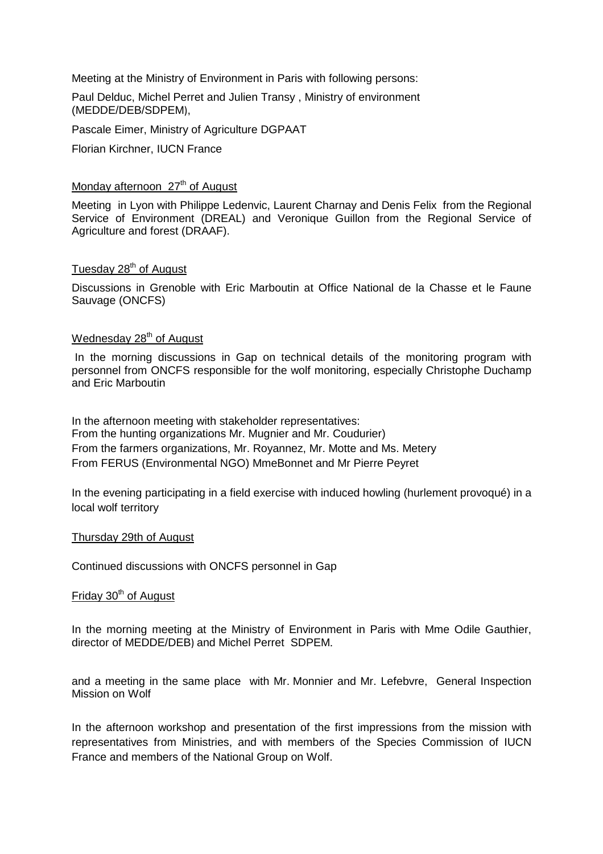Meeting at the Ministry of Environment in Paris with following persons:

Paul Delduc, Michel Perret and Julien Transy , Ministry of environment (MEDDE/DEB/SDPEM),

Pascale Eimer, Ministry of Agriculture DGPAAT Florian Kirchner, IUCN France

#### Monday afternoon  $27<sup>th</sup>$  of August

Meeting in Lyon with Philippe Ledenvic, Laurent Charnay and Denis Felix from the Regional Service of Environment (DREAL) and Veronique Guillon from the Regional Service of Agriculture and forest (DRAAF).

# Tuesday 28<sup>th</sup> of August

Discussions in Grenoble with Eric Marboutin at Office National de la Chasse et le Faune Sauvage (ONCFS)

# Wednesday 28<sup>th</sup> of August

In the morning discussions in Gap on technical details of the monitoring program with personnel from ONCFS responsible for the wolf monitoring, especially Christophe Duchamp and Eric Marboutin

In the afternoon meeting with stakeholder representatives: From the hunting organizations Mr. Mugnier and Mr. Coudurier) From the farmers organizations, Mr. Royannez, Mr. Motte and Ms. Metery From FERUS (Environmental NGO) MmeBonnet and Mr Pierre Peyret

In the evening participating in a field exercise with induced howling (hurlement provoqué) in a local wolf territory

#### Thursday 29th of August

Continued discussions with ONCFS personnel in Gap

#### Friday 30<sup>th</sup> of August

In the morning meeting at the Ministry of Environment in Paris with Mme Odile Gauthier, director of MEDDE/DEB) and Michel Perret SDPEM.

and a meeting in the same place with Mr. Monnier and Mr. Lefebvre, General Inspection Mission on Wolf

In the afternoon workshop and presentation of the first impressions from the mission with representatives from Ministries, and with members of the Species Commission of IUCN France and members of the National Group on Wolf.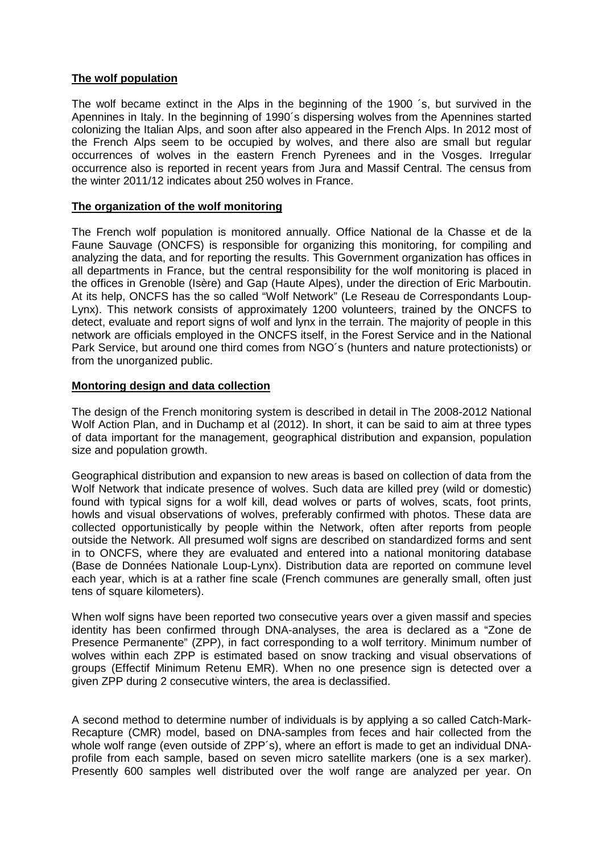# **The wolf population**

The wolf became extinct in the Alps in the beginning of the 1900 ´s, but survived in the Apennines in Italy. In the beginning of 1990´s dispersing wolves from the Apennines started colonizing the Italian Alps, and soon after also appeared in the French Alps. In 2012 most of the French Alps seem to be occupied by wolves, and there also are small but regular occurrences of wolves in the eastern French Pyrenees and in the Vosges. Irregular occurrence also is reported in recent years from Jura and Massif Central. The census from the winter 2011/12 indicates about 250 wolves in France.

## **The organization of the wolf monitoring**

The French wolf population is monitored annually. Office National de la Chasse et de la Faune Sauvage (ONCFS) is responsible for organizing this monitoring, for compiling and analyzing the data, and for reporting the results. This Government organization has offices in all departments in France, but the central responsibility for the wolf monitoring is placed in the offices in Grenoble (Isère) and Gap (Haute Alpes), under the direction of Eric Marboutin. At its help, ONCFS has the so called "Wolf Network" (Le Reseau de Correspondants Loup-Lynx). This network consists of approximately 1200 volunteers, trained by the ONCFS to detect, evaluate and report signs of wolf and lynx in the terrain. The majority of people in this network are officials employed in the ONCFS itself, in the Forest Service and in the National Park Service, but around one third comes from NGO´s (hunters and nature protectionists) or from the unorganized public.

## **Montoring design and data collection**

The design of the French monitoring system is described in detail in The 2008-2012 National Wolf Action Plan, and in Duchamp et al (2012). In short, it can be said to aim at three types of data important for the management, geographical distribution and expansion, population size and population growth.

Geographical distribution and expansion to new areas is based on collection of data from the Wolf Network that indicate presence of wolves. Such data are killed prey (wild or domestic) found with typical signs for a wolf kill, dead wolves or parts of wolves, scats, foot prints, howls and visual observations of wolves, preferably confirmed with photos. These data are collected opportunistically by people within the Network, often after reports from people outside the Network. All presumed wolf signs are described on standardized forms and sent in to ONCFS, where they are evaluated and entered into a national monitoring database (Base de Données Nationale Loup-Lynx). Distribution data are reported on commune level each year, which is at a rather fine scale (French communes are generally small, often just tens of square kilometers).

When wolf signs have been reported two consecutive years over a given massif and species identity has been confirmed through DNA-analyses, the area is declared as a "Zone de Presence Permanente" (ZPP), in fact corresponding to a wolf territory. Minimum number of wolves within each ZPP is estimated based on snow tracking and visual observations of groups (Effectif Minimum Retenu EMR). When no one presence sign is detected over a given ZPP during 2 consecutive winters, the area is declassified.

A second method to determine number of individuals is by applying a so called Catch-Mark-Recapture (CMR) model, based on DNA-samples from feces and hair collected from the whole wolf range (even outside of ZPP's), where an effort is made to get an individual DNAprofile from each sample, based on seven micro satellite markers (one is a sex marker). Presently 600 samples well distributed over the wolf range are analyzed per year. On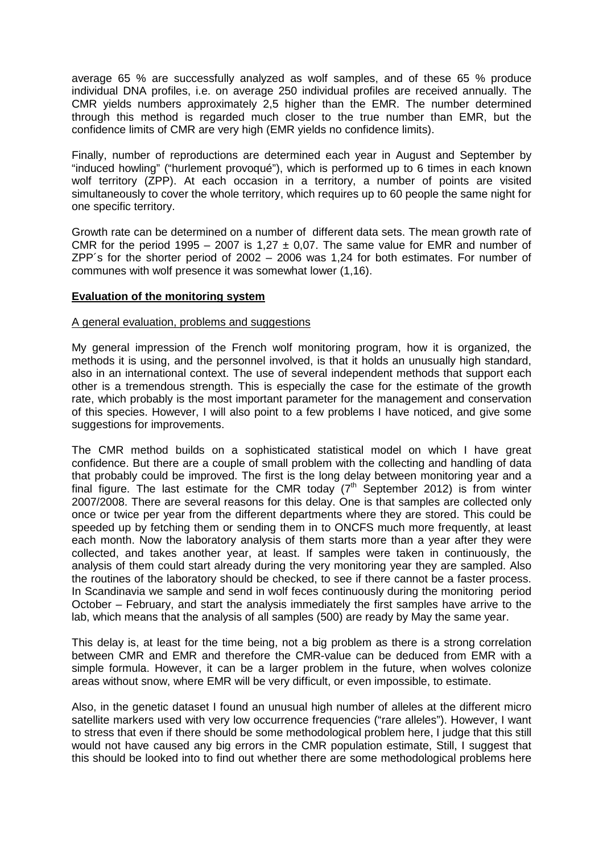average 65 % are successfully analyzed as wolf samples, and of these 65 % produce individual DNA profiles, i.e. on average 250 individual profiles are received annually. The CMR yields numbers approximately 2,5 higher than the EMR. The number determined through this method is regarded much closer to the true number than EMR, but the confidence limits of CMR are very high (EMR yields no confidence limits).

Finally, number of reproductions are determined each year in August and September by "induced howling" ("hurlement provoqué"), which is performed up to 6 times in each known wolf territory (ZPP). At each occasion in a territory, a number of points are visited simultaneously to cover the whole territory, which requires up to 60 people the same night for one specific territory.

Growth rate can be determined on a number of different data sets. The mean growth rate of CMR for the period 1995 – 2007 is 1.27  $\pm$  0.07. The same value for EMR and number of ZPP´s for the shorter period of 2002 – 2006 was 1,24 for both estimates. For number of communes with wolf presence it was somewhat lower (1,16).

## **Evaluation of the monitoring system**

## A general evaluation, problems and suggestions

My general impression of the French wolf monitoring program, how it is organized, the methods it is using, and the personnel involved, is that it holds an unusually high standard, also in an international context. The use of several independent methods that support each other is a tremendous strength. This is especially the case for the estimate of the growth rate, which probably is the most important parameter for the management and conservation of this species. However, I will also point to a few problems I have noticed, and give some suggestions for improvements.

The CMR method builds on a sophisticated statistical model on which I have great confidence. But there are a couple of small problem with the collecting and handling of data that probably could be improved. The first is the long delay between monitoring year and a final figure. The last estimate for the CMR today  $(7<sup>th</sup>$  September 2012) is from winter 2007/2008. There are several reasons for this delay. One is that samples are collected only once or twice per year from the different departments where they are stored. This could be speeded up by fetching them or sending them in to ONCFS much more frequently, at least each month. Now the laboratory analysis of them starts more than a year after they were collected, and takes another year, at least. If samples were taken in continuously, the analysis of them could start already during the very monitoring year they are sampled. Also the routines of the laboratory should be checked, to see if there cannot be a faster process. In Scandinavia we sample and send in wolf feces continuously during the monitoring period October – February, and start the analysis immediately the first samples have arrive to the lab, which means that the analysis of all samples (500) are ready by May the same year.

This delay is, at least for the time being, not a big problem as there is a strong correlation between CMR and EMR and therefore the CMR-value can be deduced from EMR with a simple formula. However, it can be a larger problem in the future, when wolves colonize areas without snow, where EMR will be very difficult, or even impossible, to estimate.

Also, in the genetic dataset I found an unusual high number of alleles at the different micro satellite markers used with very low occurrence frequencies ("rare alleles"). However, I want to stress that even if there should be some methodological problem here, I judge that this still would not have caused any big errors in the CMR population estimate, Still, I suggest that this should be looked into to find out whether there are some methodological problems here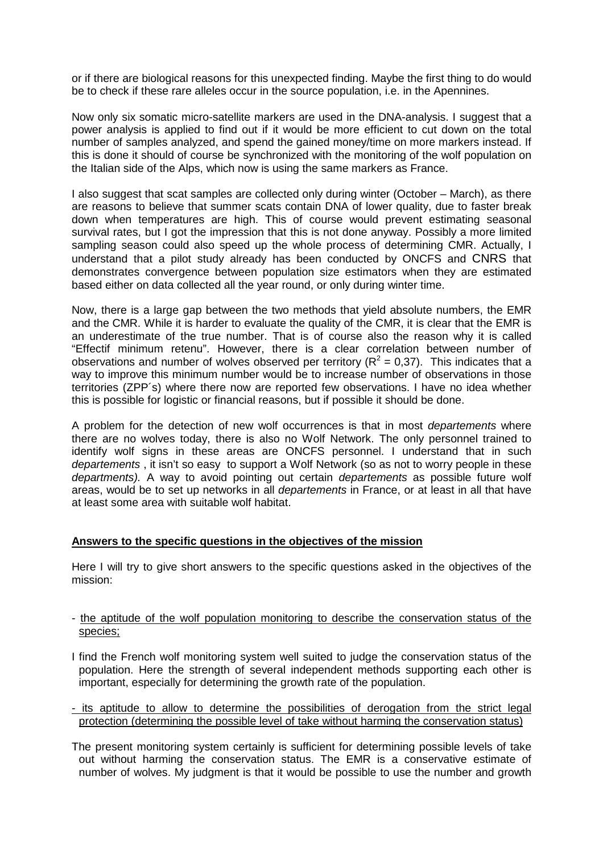or if there are biological reasons for this unexpected finding. Maybe the first thing to do would be to check if these rare alleles occur in the source population, i.e. in the Apennines.

Now only six somatic micro-satellite markers are used in the DNA-analysis. I suggest that a power analysis is applied to find out if it would be more efficient to cut down on the total number of samples analyzed, and spend the gained money/time on more markers instead. If this is done it should of course be synchronized with the monitoring of the wolf population on the Italian side of the Alps, which now is using the same markers as France.

I also suggest that scat samples are collected only during winter (October – March), as there are reasons to believe that summer scats contain DNA of lower quality, due to faster break down when temperatures are high. This of course would prevent estimating seasonal survival rates, but I got the impression that this is not done anyway. Possibly a more limited sampling season could also speed up the whole process of determining CMR. Actually, I understand that a pilot study already has been conducted by ONCFS and CNRS that demonstrates convergence between population size estimators when they are estimated based either on data collected all the year round, or only during winter time.

Now, there is a large gap between the two methods that yield absolute numbers, the EMR and the CMR. While it is harder to evaluate the quality of the CMR, it is clear that the EMR is an underestimate of the true number. That is of course also the reason why it is called "Effectif minimum retenu". However, there is a clear correlation between number of observations and number of wolves observed per territory ( $R^2 = 0.37$ ). This indicates that a way to improve this minimum number would be to increase number of observations in those territories (ZPP´s) where there now are reported few observations. I have no idea whether this is possible for logistic or financial reasons, but if possible it should be done.

A problem for the detection of new wolf occurrences is that in most *departements* where there are no wolves today, there is also no Wolf Network. The only personnel trained to identify wolf signs in these areas are ONCFS personnel. I understand that in such departements, it isn't so easy to support a Wolf Network (so as not to worry people in these departments). A way to avoid pointing out certain departements as possible future wolf areas, would be to set up networks in all departements in France, or at least in all that have at least some area with suitable wolf habitat.

## **Answers to the specific questions in the objectives of the mission**

Here I will try to give short answers to the specific questions asked in the objectives of the mission:

#### - the aptitude of the wolf population monitoring to describe the conservation status of the species;

- I find the French wolf monitoring system well suited to judge the conservation status of the population. Here the strength of several independent methods supporting each other is important, especially for determining the growth rate of the population.
- its aptitude to allow to determine the possibilities of derogation from the strict legal protection (determining the possible level of take without harming the conservation status)
- The present monitoring system certainly is sufficient for determining possible levels of take out without harming the conservation status. The EMR is a conservative estimate of number of wolves. My judgment is that it would be possible to use the number and growth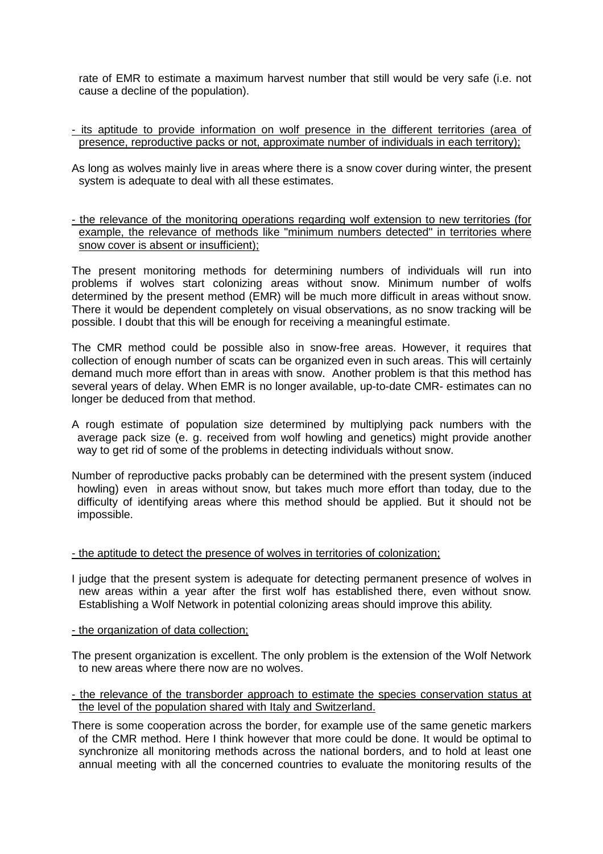rate of EMR to estimate a maximum harvest number that still would be very safe (i.e. not cause a decline of the population).

- its aptitude to provide information on wolf presence in the different territories (area of presence, reproductive packs or not, approximate number of individuals in each territory);
- As long as wolves mainly live in areas where there is a snow cover during winter, the present system is adequate to deal with all these estimates.
- the relevance of the monitoring operations regarding wolf extension to new territories (for example, the relevance of methods like "minimum numbers detected" in territories where snow cover is absent or insufficient);

The present monitoring methods for determining numbers of individuals will run into problems if wolves start colonizing areas without snow. Minimum number of wolfs determined by the present method (EMR) will be much more difficult in areas without snow. There it would be dependent completely on visual observations, as no snow tracking will be possible. I doubt that this will be enough for receiving a meaningful estimate.

The CMR method could be possible also in snow-free areas. However, it requires that collection of enough number of scats can be organized even in such areas. This will certainly demand much more effort than in areas with snow. Another problem is that this method has several years of delay. When EMR is no longer available, up-to-date CMR- estimates can no longer be deduced from that method.

- A rough estimate of population size determined by multiplying pack numbers with the average pack size (e. g. received from wolf howling and genetics) might provide another way to get rid of some of the problems in detecting individuals without snow.
- Number of reproductive packs probably can be determined with the present system (induced howling) even in areas without snow, but takes much more effort than today, due to the difficulty of identifying areas where this method should be applied. But it should not be impossible.

## - the aptitude to detect the presence of wolves in territories of colonization;

- I judge that the present system is adequate for detecting permanent presence of wolves in new areas within a year after the first wolf has established there, even without snow. Establishing a Wolf Network in potential colonizing areas should improve this ability.
- the organization of data collection;
- The present organization is excellent. The only problem is the extension of the Wolf Network to new areas where there now are no wolves.
- the relevance of the transborder approach to estimate the species conservation status at the level of the population shared with Italy and Switzerland.
- There is some cooperation across the border, for example use of the same genetic markers of the CMR method. Here I think however that more could be done. It would be optimal to synchronize all monitoring methods across the national borders, and to hold at least one annual meeting with all the concerned countries to evaluate the monitoring results of the